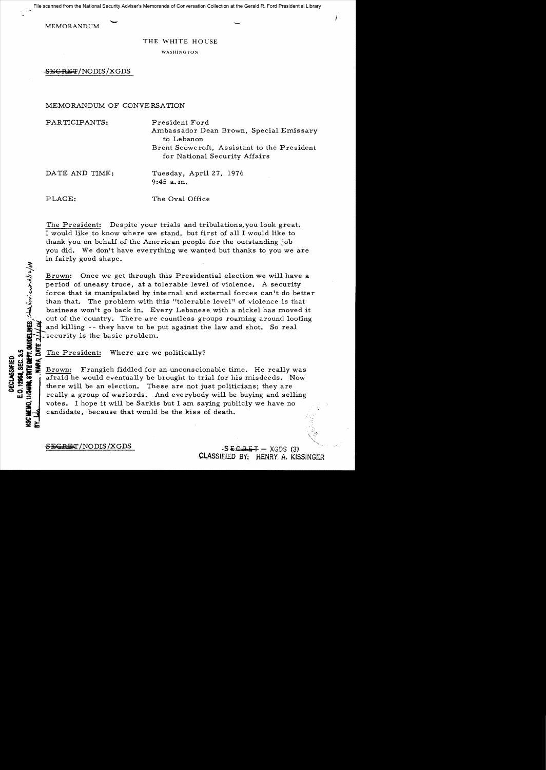File scanned from the National Security Adviser's Memoranda of Conversation Collection at the Gerald R. Ford Presidential Library

MEMORANDUM

## THE WHITE HOUSE

WASHINGTON

SEGRET/NODIS/XGDS

## MEMORANDUM OF CONVERSATION

PARTICIPANTS: President Ford Ambassador Dean Brown, Special Emissary to Lebanon

Brent Scowcroft, Assistant to the President for National Security Affairs

DATE AND TIME: Tuesday, April 27, 1976 9:45 a. m.

PLACE: The Oval Office

 $\frac{1}{2}$  $\frac{1}{2}$ 

 $\hat{\mathcal{L}}$ 

**w;::** 

The President: Despite your trials and tribulations, you look great. I would like to know where we stand, but first of all I would like to thank you on behalf of the American people for the outstanding job you did. We don't have everything we wanted but thanks to you we are in fairly good shape.

Brown: Once we get through this Presidential election we will have a <sup>~</sup> period of uneasy truce, at a tolerable level of violence. A security force that is manipulated by internal and external forces can't do better than that. The problem with this "tolerable level" of violence is that business won't go back in. Every Lebanese with a nickel has moved it out of the country. There are countless groups roaming around looting and killing -- they have to be put against the law and shot. So real security is the basic problem.

**EXECUTE 12 IDENTIFY THE President:** Where are we politically?<br> **EXECUTE 2** Brown: Frangieh fiddled for an unconscion of the present of the would eventually be brought to tries<br> **CONSTRUMENT:** there will be an election. Th  $\frac{35}{32}$  Brown: Frangieh fiddled for an unconscionable time. He really was<br>  $\frac{35}{32}$  afraid he would eventually be brought to trial for his misdeeds. Now there will be an election. These are not just politicians; th there will be an election. These are not just politicians; they are really a group of warlords. And everybody will be buying and selling votes. I hope it will be Sarkis but I am saying publicly we have no candidate, because that would be the kiss of death.

 $S<sub>FGRE</sub>T/ NODIS/XGDS$  -SECRET - XGDS (3) CLASSIEIED BY: HENRY A. KISSINGER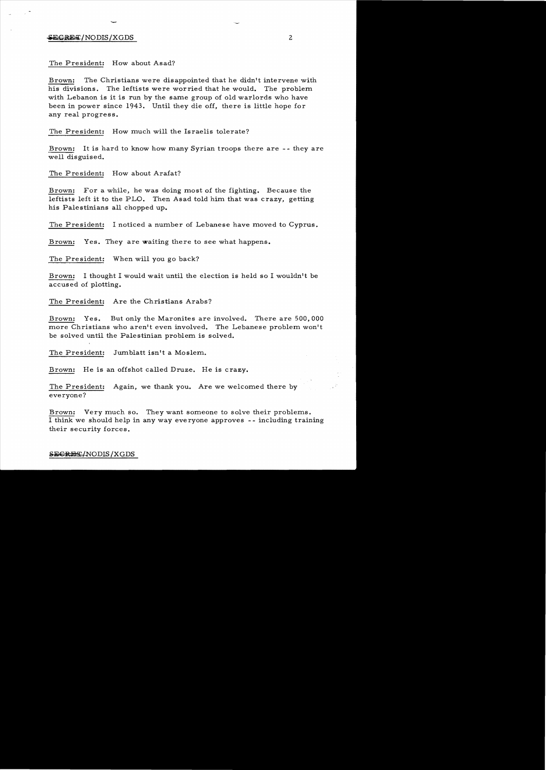## ${}$ <del>SECRET</del>/NODIS/XGDS 2

The President: How about Asad?

Brown: The Christians were disappointed that he didn't intervene with his divisions. The leftists were worried that he would. The problem with Lebanon is it is run by the same group of old warlords who have been in power since 1943. Until they die off, there is little hope for any real progress.

The President: How much will the Israelis tolerate?

Brown: It is hard to know how many Syrian troops there are - - they are well disguised.

The President: How about Arafat?

Brown: For a while, he was doing most of the fighting. Because the leftists left it to the PLO. Then Asad told him that was crazy, getting his Palestinians all chopped **up.** 

The President: I noticed a number of Lebanese have moved to Cyprus.

Brown: Yes. They are waiting there to see what happens.

The President: When will you go back?

Brown: I thought I would wait until the election is held so I wouldn't be accused of plotting.

The President: Are the Christians Arabs?

Brown: Yes. But only the Maronites are involved. There are 500,000 more Christians who aren't even involved. The Lebanese problem won't be solved until the Palestinian problem is solved.

The President: Jumblatt isn't a Moslem.

Brown: He is an offshot called Druze. He is crazy.

The President: Again, we thank you. Are we welcomed there by everyone?

Brown: Very much so. They want someone to solve their problems. I think we should help in any way everyone approves - - including training their security forces.

SECRET/NODIS/XGDS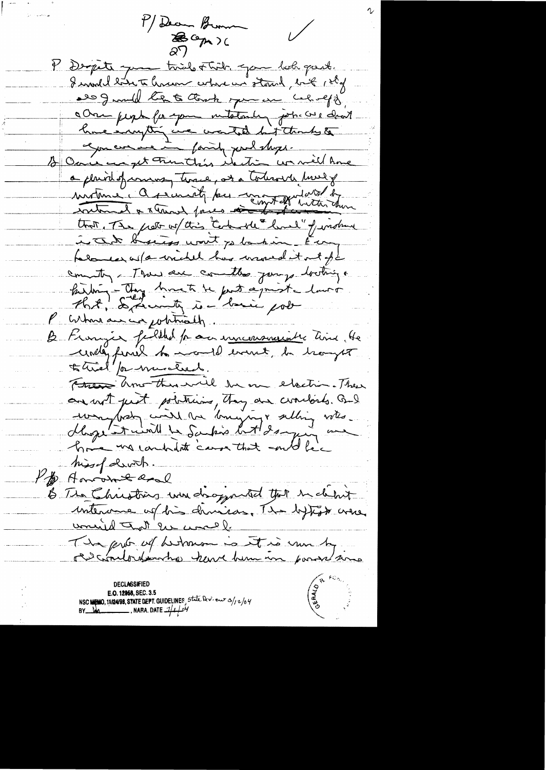M/ Deam Brum  $\sqrt{}$ BCp) P Depite que trie Ftil que bob part. I would late to have where we stand, but 120g alog wild tex to thank you are caloreff a One people for your intetendent jobs avec dans hue impting we wanted hit thanks to 12 Over was get Frenthis itention was mell Ame a plaint of commany time, at a tolerarch hours that The pretty wil this content limed " fundher in The broad wort yo banking to my falamed as fa wickel has wroned it not of t country - There are committee journs bothing a hidrig - They break te post apriste lavor P cortain au composition de Be Frangie fullled for our inconsiderative time, He undly finish to month event, in trongest to tried / or muctural. Free Amenthus will be on electric. There an with just politicians, they are coordords. But mondais coire de bouquigne alling votes hissel divits. Pp Amount and B The Christians were dropparted that in climat interance of his divisor. The bytest when unid Tot en wall. The prior of bestown is it is me by rescontention have him in porse/sime declassified E.O. 12958, SEC. 3.5 NSC MEMO, 11/24/98, STATE DEPT. GUIDELINES, State Dev. eur 3/12/04 BY  $\frac{1}{4}$